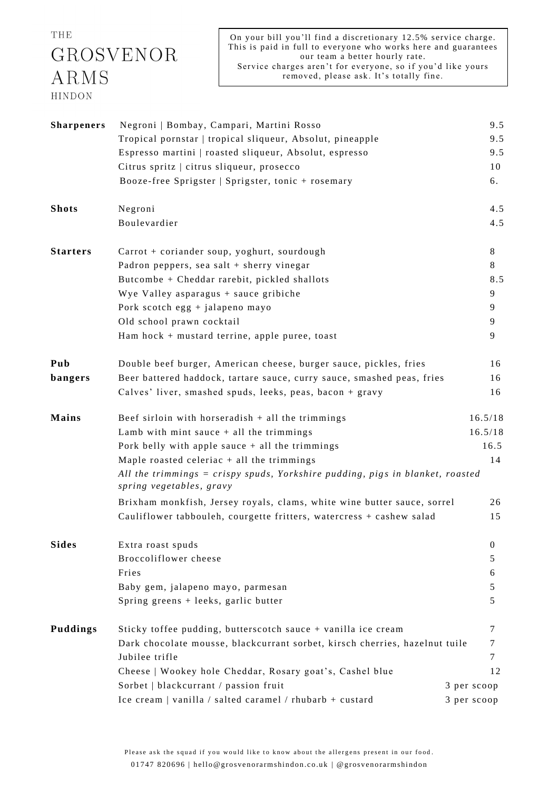THE GROSVENOR ARMS HINDON

| <b>Sharpeners</b>                                         | Negroni   Bombay, Campari, Martini Rosso                                                                  | 9.5          |  |  |
|-----------------------------------------------------------|-----------------------------------------------------------------------------------------------------------|--------------|--|--|
| Tropical pornstar   tropical sliqueur, Absolut, pineapple |                                                                                                           | 9.5          |  |  |
|                                                           | Espresso martini   roasted sliqueur, Absolut, espresso                                                    | 9.5          |  |  |
|                                                           | Citrus spritz   citrus sliqueur, prosecco                                                                 | 10           |  |  |
|                                                           | Booze-free Sprigster   Sprigster, tonic + rosemary                                                        | 6.           |  |  |
| <b>Shots</b>                                              | Negroni                                                                                                   | 4.5          |  |  |
|                                                           | Boulevardier                                                                                              | 4.5          |  |  |
| <b>Starters</b>                                           | Carrot + coriander soup, yoghurt, sourdough                                                               | 8            |  |  |
|                                                           | Padron peppers, sea salt + sherry vinegar                                                                 | 8            |  |  |
|                                                           | Butcombe + Cheddar rarebit, pickled shallots                                                              | 8.5          |  |  |
|                                                           | Wye Valley asparagus + sauce gribiche                                                                     | 9            |  |  |
|                                                           | Pork scotch egg + jalapeno mayo                                                                           | 9            |  |  |
|                                                           | Old school prawn cocktail                                                                                 | 9            |  |  |
|                                                           | Ham hock + mustard terrine, apple puree, toast                                                            | 9            |  |  |
| Pub                                                       | Double beef burger, American cheese, burger sauce, pickles, fries                                         | 16           |  |  |
| bangers                                                   | Beer battered haddock, tartare sauce, curry sauce, smashed peas, fries                                    | 16           |  |  |
|                                                           | Calves' liver, smashed spuds, leeks, peas, bacon + gravy                                                  | 16           |  |  |
| Mains                                                     | Beef sirloin with horseradish $+$ all the trimmings                                                       | 16.5/18      |  |  |
|                                                           | Lamb with mint sauce $+$ all the trimmings                                                                | 16.5/18      |  |  |
|                                                           | Pork belly with apple sauce $+$ all the trimmings                                                         | 16.5         |  |  |
|                                                           | Maple roasted celeriac $+$ all the trimmings                                                              | 14           |  |  |
|                                                           | All the trimmings = crispy spuds, Yorkshire pudding, pigs in blanket, roasted<br>spring vegetables, gravy |              |  |  |
|                                                           | Brixham monkfish, Jersey royals, clams, white wine butter sauce, sorrel                                   | 26           |  |  |
|                                                           | Cauliflower tabbouleh, courgette fritters, watercress + cashew salad                                      | 15           |  |  |
| <b>Sides</b>                                              | Extra roast spuds                                                                                         | $\mathbf{0}$ |  |  |
|                                                           | Broccoliflower cheese                                                                                     | 5            |  |  |
|                                                           | Fries                                                                                                     | 6            |  |  |
|                                                           | Baby gem, jalapeno mayo, parmesan                                                                         | 5            |  |  |
|                                                           | Spring greens + leeks, garlic butter                                                                      | 5            |  |  |
| <b>Puddings</b>                                           | Sticky toffee pudding, butterscotch sauce + vanilla ice cream                                             | 7            |  |  |
|                                                           | Dark chocolate mousse, blackcurrant sorbet, kirsch cherries, hazelnut tuile                               | 7            |  |  |
|                                                           | Jubilee trifle                                                                                            | 7            |  |  |
|                                                           | Cheese   Wookey hole Cheddar, Rosary goat's, Cashel blue                                                  | 12           |  |  |
|                                                           | Sorbet   blackcurrant / passion fruit                                                                     | 3 per scoop  |  |  |
|                                                           | Ice cream   vanilla / salted caramel / rhubarb + custard                                                  | 3 per scoop  |  |  |